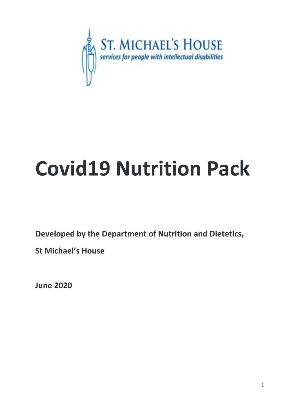

# **Covid19 Nutrition Pack**

**Developed by the Department of Nutrition and Dietetics,** 

**St Michael's House**

**June 2020**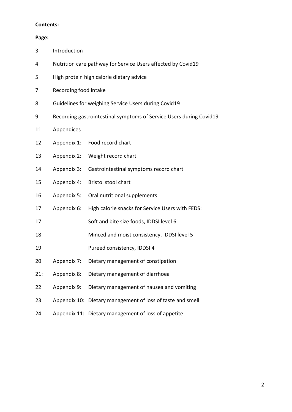#### **Contents:**

#### **Page:**

| 3<br>Introduction |  |
|-------------------|--|
|-------------------|--|

- Nutrition care pathway for Service Users affected by Covid19
- High protein high calorie dietary advice
- Recording food intake
- Guidelines for weighing Service Users during Covid19
- Recording gastrointestinal symptoms of Service Users during Covid19
- Appendices
- Appendix 1: Food record chart
- Appendix 2: Weight record chart
- Appendix 3: Gastrointestinal symptoms record chart
- Appendix 4: Bristol stool chart
- Appendix 5: Oral nutritional supplements
- Appendix 6: High calorie snacks for Service Users with FEDS:
- Soft and bite size foods, IDDSI level 6
- Minced and moist consistency, IDDSI level 5
- Pureed consistency, IDDSI 4
- Appendix 7: Dietary management of constipation
- 21: Appendix 8: Dietary management of diarrhoea
- Appendix 9: Dietary management of nausea and vomiting
- Appendix 10: Dietary management of loss of taste and smell
- Appendix 11: Dietary management of loss of appetite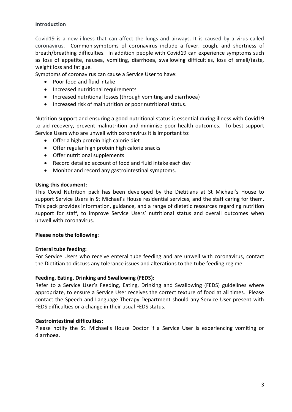#### **Introduction**

Covid19 is a new illness that can affect the lungs and airways. It is caused by a virus called coronavirus. Common symptoms of coronavirus include a fever, cough, and shortness of breath/breathing difficulties. In addition people with Covid19 can experience symptoms such as loss of appetite, nausea, vomiting, diarrhoea, swallowing difficulties, loss of smell/taste, weight loss and fatigue.

Symptoms of coronavirus can cause a Service User to have:

- Poor food and fluid intake
- Increased nutritional requirements
- Increased nutritional losses (through vomiting and diarrhoea)
- Increased risk of malnutrition or poor nutritional status.

Nutrition support and ensuring a good nutritional status is essential during illness with Covid19 to aid recovery, prevent malnutrition and minimise poor health outcomes. To best support Service Users who are unwell with coronavirus it is important to:

- Offer a high protein high calorie diet
- Offer regular high protein high calorie snacks
- Offer nutritional supplements
- Record detailed account of food and fluid intake each day
- Monitor and record any gastrointestinal symptoms.

#### **Using this document:**

This Covid Nutrition pack has been developed by the Dietitians at St Michael's House to support Service Users in St Michael's House residential services, and the staff caring for them. This pack provides information, guidance, and a range of dietetic resources regarding nutrition support for staff, to improve Service Users' nutritional status and overall outcomes when unwell with coronavirus.

#### **Please note the following**:

#### **Enteral tube feeding:**

For Service Users who receive enteral tube feeding and are unwell with coronavirus, contact the Dietitian to discuss any tolerance issues and alterations to the tube feeding regime.

#### **Feeding, Eating, Drinking and Swallowing (FEDS):**

Refer to a Service User's Feeding, Eating, Drinking and Swallowing (FEDS) guidelines where appropriate, to ensure a Service User receives the correct texture of food at all times. Please contact the Speech and Language Therapy Department should any Service User present with FEDS difficulties or a change in their usual FEDS status.

#### **Gastrointestinal difficulties:**

Please notify the St. Michael's House Doctor if a Service User is experiencing vomiting or diarrhoea.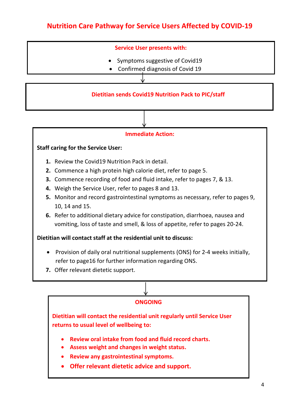### **Nutrition Care Pathway for Service Users Affected by COVID-19**

#### **Service User presents with:**

- Symptoms suggestive of Covid19
- Confirmed diagnosis of Covid 19

#### **Dietitian sends Covid19 Nutrition Pack to PIC/staff**

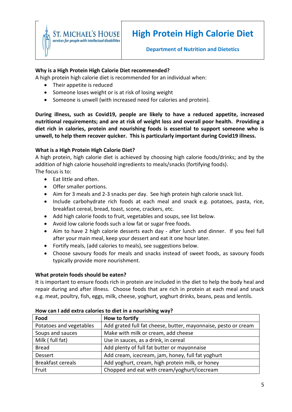

#### **Why is a High Protein High Calorie Diet recommended?**

A high protein high calorie diet is recommended for an individual when:

- Their appetite is reduced
- Someone loses weight or is at risk of losing weight
- Someone is unwell (with increased need for calories and protein).

**During illness, such as Covid19, people are likely to have a reduced appetite, increased nutritional requirements; and are at risk of weight loss and overall poor health. Providing a diet rich in calories, protein and nourishing foods is essential to support someone who is unwell, to help them recover quicker. This is particularly important during Covid19 illness.**

#### **What is a High Protein High Calorie Diet?**

A high protein, high calorie diet is achieved by choosing high calorie foods/drinks; and by the addition of high calorie household ingredients to meals/snacks (fortifying foods). The focus is to:

- Eat little and often.
- Offer smaller portions.
- Aim for 3 meals and 2-3 snacks per day. See high protein high calorie snack list.
- Include carbohydrate rich foods at each meal and snack e.g. potatoes, pasta, rice, breakfast cereal, bread, toast, scone, crackers, etc.
- Add high calorie foods to fruit, vegetables and soups, see list below.
- Avoid low calorie foods such a low fat or sugar free foods.
- Aim to have 2 high calorie desserts each day after lunch and dinner. If you feel full after your main meal, keep your dessert and eat it one hour later.
- Fortify meals, (add calories to meals), see suggestions below.
- Choose savoury foods for meals and snacks instead of sweet foods, as savoury foods typically provide more nourishment.

#### **What protein foods should be eaten?**

It is important to ensure foods rich in protein are included in the diet to help the body heal and repair during and after illness. Choose foods that are rich in protein at each meal and snack e.g. meat, poultry, fish, eggs, milk, cheese, yoghurt, yoghurt drinks, beans, peas and lentils.

| Food                     | How to fortify                                                 |
|--------------------------|----------------------------------------------------------------|
| Potatoes and vegetables  | Add grated full fat cheese, butter, mayonnaise, pesto or cream |
| Soups and sauces         | Make with milk or cream, add cheese                            |
| Milk (full fat)          | Use in sauces, as a drink, in cereal                           |
| <b>Bread</b>             | Add plenty of full fat butter or mayonnaise                    |
| Dessert                  | Add cream, icecream, jam, honey, full fat yoghurt              |
| <b>Breakfast cereals</b> | Add yoghurt, cream, high protein milk, or honey                |
| Fruit                    | Chopped and eat with cream/yoghurt/icecream                    |

#### **How can I add extra calories to diet in a nourishing way?**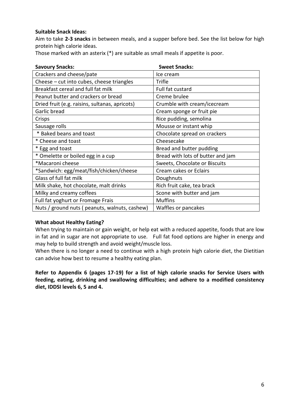#### **Suitable Snack Ideas:**

Aim to take **2-3 snacks** in between meals, and a supper before bed. See the list below for high protein high calorie ideas.

Those marked with an asterix (\*) are suitable as small meals if appetite is poor.

| <b>Savoury Snacks:</b>                         | <b>Sweet Snacks:</b>              |
|------------------------------------------------|-----------------------------------|
| Crackers and cheese/pate                       | Ice cream                         |
| Cheese - cut into cubes, cheese triangles      | Trifle                            |
| Breakfast cereal and full fat milk             | Full fat custard                  |
| Peanut butter and crackers or bread            | Creme brulee                      |
| Dried fruit (e.g. raisins, sultanas, apricots) | Crumble with cream/icecream       |
| Garlic bread                                   | Cream sponge or fruit pie         |
| Crisps                                         | Rice pudding, semolina            |
| Sausage rolls                                  | Mousse or instant whip            |
| * Baked beans and toast                        | Chocolate spread on crackers      |
| * Cheese and toast                             | Cheesecake                        |
| * Egg and toast                                | Bread and butter pudding          |
| * Omelette or boiled egg in a cup              | Bread with lots of butter and jam |
| *Macaroni cheese                               | Sweets, Chocolate or Biscuits     |
| *Sandwich: egg/meat/fish/chicken/cheese        | Cream cakes or Eclairs            |
| Glass of full fat milk                         | Doughnuts                         |
| Milk shake, hot chocolate, malt drinks         | Rich fruit cake, tea brack        |
| Milky and creamy coffees                       | Scone with butter and jam         |
| Full fat yoghurt or Fromage Frais              | <b>Muffins</b>                    |
| Nuts / ground nuts ( peanuts, walnuts, cashew) | Waffles or pancakes               |

#### **What about Healthy Eating?**

When trying to maintain or gain weight, or help eat with a reduced appetite, foods that are low in fat and in sugar are not appropriate to use. Full fat food options are higher in energy and may help to build strength and avoid weight/muscle loss.

When there is no longer a need to continue with a high protein high calorie diet, the Dietitian can advise how best to resume a healthy eating plan.

**Refer to Appendix 6 (pages 17-19) for a list of high calorie snacks for Service Users with feeding, eating, drinking and swallowing difficulties; and adhere to a modified consistency diet, IDDSI levels 6, 5 and 4.**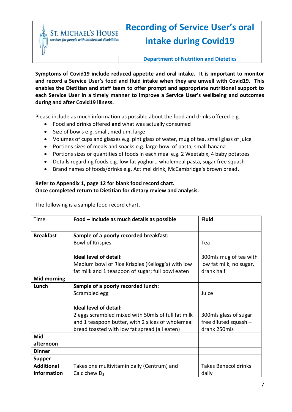**S HOUSE** services for people with intellectual disabilities

# **Recording of Service User's oral intake during Covid19**

**Department of Nutrition and Dietetics**

**Symptoms of Covid19 include reduced appetite and oral intake. It is important to monitor and record a Service User's food and fluid intake when they are unwell with Covid19. This enables the Dietitian and staff team to offer prompt and appropriate nutritional support to each Service User in a timely manner to improve a Service User's wellbeing and outcomes during and after Covid19 illness.**

Please include as much information as possible about the food and drinks offered e.g.

- Food and drinks offered **and** what was actually consumed
- Size of bowls e.g. small, medium, large
- Volumes of cups and glasses e.g. pint glass of water, mug of tea, small glass of juice
- Portions sizes of meals and snacks e.g. large bowl of pasta, small banana
- Portions sizes or quantities of foods in each meal e.g. 2 Weetabix, 4 baby potatoes
- Details regarding foods e.g. low fat yoghurt, wholemeal pasta, sugar free squash
- Brand names of foods/drinks e.g. Actimel drink, McCambridge's brown bread.

#### **Refer to Appendix 1, page 12 for blank food record chart. Once completed return to Dietitian for dietary review and analysis.**

The following is a sample food record chart.

| Time               | Food - Include as much details as possible         | <b>Fluid</b>                |
|--------------------|----------------------------------------------------|-----------------------------|
|                    |                                                    |                             |
| <b>Breakfast</b>   | Sample of a poorly recorded breakfast:             |                             |
|                    | <b>Bowl of Krispies</b>                            | Tea                         |
|                    |                                                    |                             |
|                    | <b>Ideal level of detail:</b>                      | 300mls mug of tea with      |
|                    | Medium bowl of Rice Krispies (Kellogg's) with low  | low fat milk, no sugar,     |
|                    | fat milk and 1 teaspoon of sugar; full bowl eaten  | drank half                  |
| <b>Mid morning</b> |                                                    |                             |
| Lunch              | Sample of a poorly recorded lunch:                 |                             |
|                    | Scrambled egg                                      | Juice                       |
|                    |                                                    |                             |
|                    | <b>Ideal level of detail:</b>                      |                             |
|                    | 2 eggs scrambled mixed with 50mls of full fat milk | 300mls glass of sugar       |
|                    | and 1 teaspoon butter, with 2 slices of wholemeal  | free diluted squash -       |
|                    | bread toasted with low fat spread (all eaten)      | drank 250mls                |
| Mid                |                                                    |                             |
| afternoon          |                                                    |                             |
| <b>Dinner</b>      |                                                    |                             |
| <b>Supper</b>      |                                                    |                             |
| <b>Additional</b>  | Takes one multivitamin daily (Centrum) and         | <b>Takes Benecol drinks</b> |
| <b>Information</b> | Calcichew $D_3$                                    | daily                       |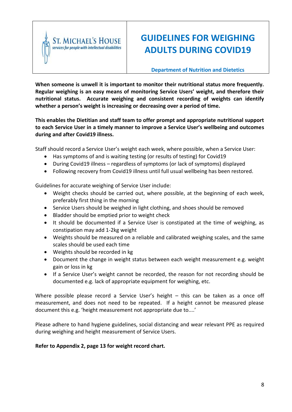

## **GUIDELINES FOR WEIGHING ADULTS DURING COVID19**

**Department of Nutrition and Dietetics**

**When someone is unwell it is important to monitor their nutritional status more frequently. Regular weighing is an easy means of monitoring Service Users' weight, and therefore their nutritional status. Accurate weighing and consistent recording of weights can identify whether a person's weight is increasing or decreasing over a period of time.**

#### **This enables the Dietitian and staff team to offer prompt and appropriate nutritional support to each Service User in a timely manner to improve a Service User's wellbeing and outcomes during and after Covid19 illness.**

Staff should record a Service User's weight each week, where possible, when a Service User:

- Has symptoms of and is waiting testing (or results of testing) for Covid19
- During Covid19 illness regardless of symptoms (or lack of symptoms) displayed
- Following recovery from Covid19 illness until full usual wellbeing has been restored.

Guidelines for accurate weighing of Service User include:

- Weight checks should be carried out, where possible, at the beginning of each week, preferably first thing in the morning
- Service Users should be weighed in light clothing, and shoes should be removed
- Bladder should be emptied prior to weight check
- It should be documented if a Service User is constipated at the time of weighing, as constipation may add 1-2kg weight
- Weights should be measured on a reliable and calibrated weighing scales, and the same scales should be used each time
- Weights should be recorded in kg
- Document the change in weight status between each weight measurement e.g. weight gain or loss in kg
- If a Service User's weight cannot be recorded, the reason for not recording should be documented e.g. lack of appropriate equipment for weighing, etc.

Where possible please record a Service User's height - this can be taken as a once off measurement, and does not need to be repeated. If a height cannot be measured please document this e.g. 'height measurement not appropriate due to....'

Please adhere to hand hygiene guidelines, social distancing and wear relevant PPE as required during weighing and height measurement of Service Users.

**Refer to Appendix 2, page 13 for weight record chart.**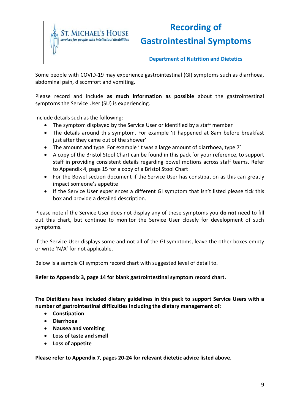

# **Recording of**

**Gastrointestinal Symptoms**

**Department of Nutrition and Dietetics**

Some people with COVID-19 may experience gastrointestinal (GI) symptoms such as diarrhoea, abdominal pain, discomfort and vomiting.

Please record and include **as much information as possible** about the gastrointestinal symptoms the Service User (SU) is experiencing.

Include details such as the following:

- The symptom displayed by the Service User or identified by a staff member
- The details around this symptom. For example 'it happened at 8am before breakfast just after they came out of the shower'
- The amount and type. For example 'it was a large amount of diarrhoea, type 7'
- A copy of the Bristol Stool Chart can be found in this pack for your reference, to support staff in providing consistent details regarding bowel motions across staff teams. Refer to Appendix 4, page 15 for a copy of a Bristol Stool Chart
- For the Bowel section document if the Service User has constipation as this can greatly impact someone's appetite
- If the Service User experiences a different GI symptom that isn't listed please tick this box and provide a detailed description.

Please note if the Service User does not display any of these symptoms you **do not** need to fill out this chart, but continue to monitor the Service User closely for development of such symptoms.

If the Service User displays some and not all of the GI symptoms, leave the other boxes empty or write 'N/A' for not applicable.

Below is a sample GI symptom record chart with suggested level of detail to.

**Refer to Appendix 3, page 14 for blank gastrointestinal symptom record chart.**

**The Dietitians have included dietary guidelines in this pack to support Service Users with a number of gastrointestinal difficulties including the dietary management of:**

- **Constipation**
- **Diarrhoea**
- **Nausea and vomiting**
- **Loss of taste and smell**
- **Loss of appetite**

**Please refer to Appendix 7, pages 20-24 for relevant dietetic advice listed above.**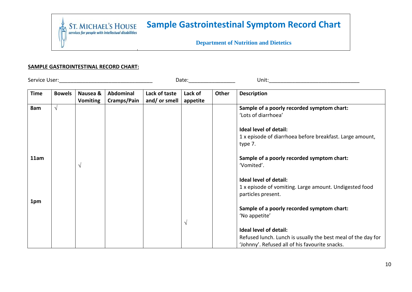### **Sample Gastrointestinal Symptom Record Chart**  $\begin{minipage}{.4\linewidth} \begin{tabular}{l} \bf ST. \; MICHAEL'S \; HOUSE \\ \bf \it services for people with intellectual disabilities \\ \end{tabular}$

**Department of Nutrition and Dietetics**

#### **SAMPLE GASTROINTESTINAL RECORD CHART:**

Service User:\_\_\_\_\_\_\_\_\_\_\_\_\_\_\_\_\_\_\_\_\_\_\_\_\_\_\_\_\_\_\_\_ Date:\_\_\_\_\_\_\_\_\_\_\_\_\_\_\_\_ Unit:\_\_\_\_\_\_\_\_\_\_\_\_\_\_\_\_\_\_\_\_\_\_\_\_\_\_\_\_\_\_\_

**Time Bowels Nausea & Vomiting Abdominal Cramps/Pain Lack of taste and/ or smell Lack of appetite Other** Description **8am 11am 1pm**   $\sqrt{ }$  $\sqrt{ }$  $\sqrt{ }$ **Sample of a poorly recorded symptom chart:**  'Lots of diarrhoea' **Ideal level of detail:**  1 x episode of diarrhoea before breakfast. Large amount, type 7. **Sample of a poorly recorded symptom chart:**  'Vomited'. **Ideal level of detail:**  1 x episode of vomiting. Large amount. Undigested food particles present. **Sample of a poorly recorded symptom chart:**  'No appetite' **Ideal level of detail:**  Refused lunch. Lunch is usually the best meal of the day for 'Johnny'. Refused all of his favourite snacks.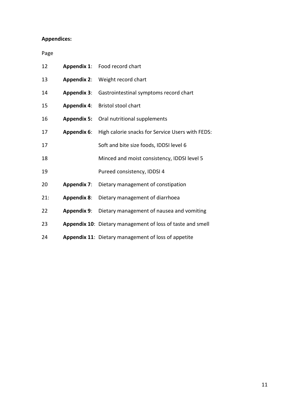#### **Appendices:**

Page

| 12  |                    | Appendix 1: Food record chart                              |
|-----|--------------------|------------------------------------------------------------|
| 13  | <b>Appendix 2:</b> | Weight record chart                                        |
| 14  | <b>Appendix 3:</b> | Gastrointestinal symptoms record chart                     |
| 15  | <b>Appendix 4:</b> | <b>Bristol stool chart</b>                                 |
| 16  | <b>Appendix 5:</b> | Oral nutritional supplements                               |
| 17  | <b>Appendix 6:</b> | High calorie snacks for Service Users with FEDS:           |
| 17  |                    | Soft and bite size foods, IDDSI level 6                    |
| 18  |                    | Minced and moist consistency, IDDSI level 5                |
| 19  |                    | Pureed consistency, IDDSI 4                                |
| 20  | <b>Appendix 7:</b> | Dietary management of constipation                         |
| 21: | <b>Appendix 8:</b> | Dietary management of diarrhoea                            |
| 22  | <b>Appendix 9:</b> | Dietary management of nausea and vomiting                  |
| 23  |                    | Appendix 10: Dietary management of loss of taste and smell |
| 24  |                    | Appendix 11: Dietary management of loss of appetite        |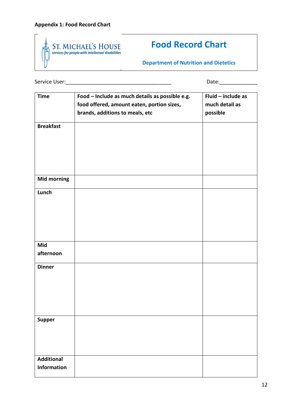

### **Food Record Chart**

**Department of Nutrition and Dietetics**

Service User:\_\_\_\_\_\_\_\_\_\_\_\_\_\_\_\_\_\_\_\_\_\_\_\_\_\_\_\_\_\_\_\_\_\_\_\_ Date:\_\_\_\_\_\_\_\_\_\_\_\_\_

| <b>Time</b>        | Food - Include as much details as possible e.g.<br>food offered, amount eaten, portion sizes, | Fluid - include as<br>much detail as |
|--------------------|-----------------------------------------------------------------------------------------------|--------------------------------------|
|                    | brands, additions to meals, etc                                                               | possible                             |
| <b>Breakfast</b>   |                                                                                               |                                      |
|                    |                                                                                               |                                      |
|                    |                                                                                               |                                      |
|                    |                                                                                               |                                      |
|                    |                                                                                               |                                      |
| <b>Mid morning</b> |                                                                                               |                                      |
| Lunch              |                                                                                               |                                      |
|                    |                                                                                               |                                      |
|                    |                                                                                               |                                      |
|                    |                                                                                               |                                      |
|                    |                                                                                               |                                      |
| Mid                |                                                                                               |                                      |
| afternoon          |                                                                                               |                                      |
| <b>Dinner</b>      |                                                                                               |                                      |
|                    |                                                                                               |                                      |
|                    |                                                                                               |                                      |
|                    |                                                                                               |                                      |
|                    |                                                                                               |                                      |
| <b>Supper</b>      |                                                                                               |                                      |
|                    |                                                                                               |                                      |
|                    |                                                                                               |                                      |
|                    |                                                                                               |                                      |
| <b>Additional</b>  |                                                                                               |                                      |
| <b>Information</b> |                                                                                               |                                      |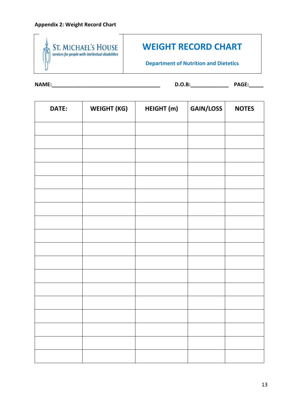

### **WEIGHT RECORD CHART**

**Department of Nutrition and Dietetics**

**NAME:\_\_\_\_\_\_\_\_\_\_\_\_\_\_\_\_\_\_\_\_\_\_\_\_\_\_\_\_\_\_\_\_\_\_\_\_\_ D.O.B:\_\_\_\_\_\_\_\_\_\_\_\_\_ PAGE:\_\_\_\_\_**

| DATE: | <b>WEIGHT (KG)</b> | HEIGHT (m) | GAIN/LOSS | <b>NOTES</b> |
|-------|--------------------|------------|-----------|--------------|
|       |                    |            |           |              |
|       |                    |            |           |              |
|       |                    |            |           |              |
|       |                    |            |           |              |
|       |                    |            |           |              |
|       |                    |            |           |              |
|       |                    |            |           |              |
|       |                    |            |           |              |
|       |                    |            |           |              |
|       |                    |            |           |              |
|       |                    |            |           |              |
|       |                    |            |           |              |
|       |                    |            |           |              |
|       |                    |            |           |              |
|       |                    |            |           |              |
|       |                    |            |           |              |
|       |                    |            |           |              |
|       |                    |            |           |              |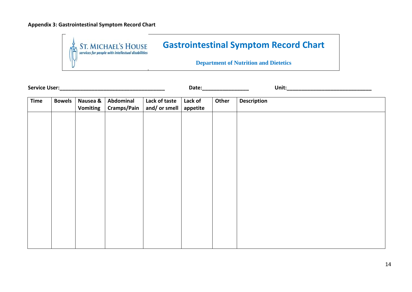#### **Appendix 3: Gastrointestinal Symptom Record Chart**



**Service User: Contract User: Contract Unit: Contract Unit: Contract Unit: Contract Unit: Contract Unit: Contract Unit: Contract Unit: Contract Unit: Contract Unit: Contract Unit: Contract Unit: C** 

**Time Bowels Nausea & Vomiting Abdominal Cramps/Pain Lack of taste and/ or smell Lack of appetite Other** Description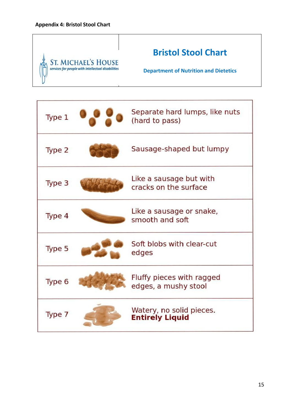# **Bristol Stool Chart** ST. MICHAEL'S HOUSE<br>services for people with intellectual disabilities **Department of Nutrition and Dietetics**

| Type 1 | Separate hard lumps, like nuts<br>(hard to pass)   |
|--------|----------------------------------------------------|
| Type 2 | Sausage-shaped but lumpy                           |
| Type 3 | Like a sausage but with<br>cracks on the surface   |
| Type 4 | Like a sausage or snake,<br>smooth and soft        |
| Type 5 | Soft blobs with clear-cut<br>edges                 |
| Type 6 | Fluffy pieces with ragged<br>edges, a mushy stool  |
| Type 7 | Watery, no solid pieces.<br><b>Entirely Liquid</b> |

٦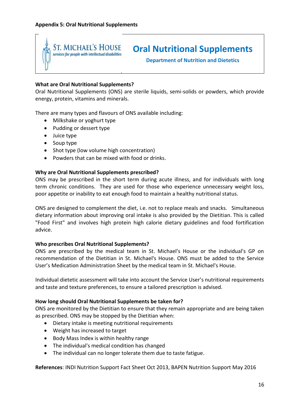

### **Oral Nutritional Supplements**

**Department of Nutrition and Dietetics**

#### **What are Oral Nutritional Supplements?**

Oral Nutritional Supplements (ONS) are sterile liquids, semi-solids or powders, which provide energy, protein, vitamins and minerals.

There are many types and flavours of ONS available including:

- Milkshake or yoghurt type
- Pudding or dessert type
- Juice type
- Soup type
- Shot type (low volume high concentration)
- Powders that can be mixed with food or drinks.

#### **Why are Oral Nutritional Supplements prescribed?**

ONS may be prescribed in the short term during acute illness, and for individuals with long term chronic conditions. They are used for those who experience unnecessary weight loss, poor appetite or inability to eat enough food to maintain a healthy nutritional status.

ONS are designed to complement the diet, i.e. not to replace meals and snacks. Simultaneous dietary information about improving oral intake is also provided by the Dietitian. This is called "Food First" and involves high protein high calorie dietary guidelines and food fortification advice.

#### **Who prescribes Oral Nutritional Supplements?**

ONS are prescribed by the medical team in St. Michael's House or the individual's GP on recommendation of the Dietitian in St. Michael's House. ONS must be added to the Service User's Medication Administration Sheet by the medical team in St. Michael's House.

Individual dietetic assessment will take into account the Service User's nutritional requirements and taste and texture preferences, to ensure a tailored prescription is advised.

#### **How long should Oral Nutritional Supplements be taken for?**

ONS are monitored by the Dietitian to ensure that they remain appropriate and are being taken as prescribed. ONS may be stopped by the Dietitian when:

- Dietary intake is meeting nutritional requirements
- Weight has increased to target
- Body Mass Index is within healthy range
- The individual's medical condition has changed
- The individual can no longer tolerate them due to taste fatigue.

**References**: INDI Nutrition Support Fact Sheet Oct 2013, BAPEN Nutrition Support May 2016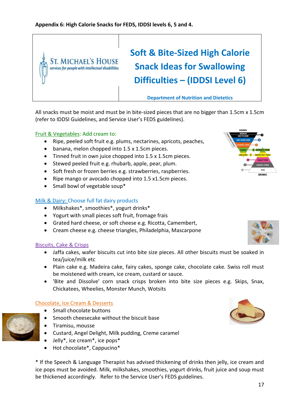

All snacks must be moist and must be in bite-sized pieces that are no bigger than 1.5cm x 1.5cm (refer to IDDSI Guidelines, and Service User's FEDS guidelines).

#### Fruit & Vegetables: Add cream to:

- Ripe, peeled soft fruit e.g. plums, nectarines, apricots, peaches,
- banana, melon chopped into 1.5 x 1.5cm pieces.
- Tinned fruit in own juice chopped into 1.5 x 1.5cm pieces.
- Stewed peeled fruit e.g. rhubarb, apple, pear, plum.
- Soft fresh or frozen berries e.g. strawberries, raspberries.
- Ripe mango or avocado chopped into 1.5 x1.5cm pieces.
- Small bowl of vegetable soup\*

#### Milk & Dairy: Choose full fat dairy products

- Milkshakes\*, smoothies\*, yogurt drinks\*
- Yogurt with small pieces soft fruit, fromage frais
- Grated hard cheese, or soft cheese e.g. Ricotta, Camembert,
- Cream cheese e.g. cheese triangles, Philadelphia, Mascarpone

#### Biscuits, Cake & Crisps

- Jaffa cakes, wafer biscuits cut into bite size pieces. All other biscuits must be soaked in tea/juice/milk etc
- Plain cake e.g. Madeira cake, fairy cakes, sponge cake, chocolate cake. Swiss roll must be moistened with cream, ice cream, custard or sauce.
- 'Bite and Dissolve' corn snack crisps broken into bite size pieces e.g. Skips, Snax, Chickatees, Wheelies, Monster Munch, Wotsits

#### Chocolate, Ice Cream & Desserts

- Small chocolate buttons
- Smooth cheesecake without the biscuit base
- Tiramisu, mousse
- Custard, Angel Delight, Milk pudding, Creme caramel
- Jelly\*, ice cream\*, ice pops\*
- Hot chocolate\*, Cappucino\*

\* If the Speech & Language Therapist has advised thickening of drinks then jelly, ice cream and ice pops must be avoided. Milk, milkshakes, smoothies, yogurt drinks, fruit juice and soup must be thickened accordingly. Refer to the Service User's FEDS guidelines.





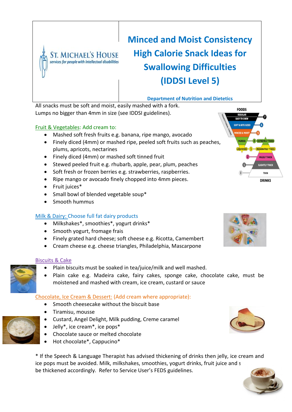

# **Minced and Moist Consistency High Calorie Snack Ideas for Swallowing Difficulties (IDDSI Level 5)**

#### **Department of Nutrition and Dietetics**

All snacks must be soft and moist, easily mashed with a fork. Lumps no bigger than 4mm in size (see IDDSI guidelines).

#### Fruit & Vegetables: Add cream to:

- Mashed soft fresh fruits e.g. banana, ripe mango, avocado
- Finely diced (4mm) or mashed ripe, peeled soft fruits such as peaches, plums, apricots, nectarines
- Finely diced (4mm) or mashed soft tinned fruit
- $\bullet$  Stewed peeled fruit e.g. rhubarb, apple, pear, plum, peaches
- Soft fresh or frozen berries e.g. strawberries, raspberries.
- Ripe mango or avocado finely chopped into 4mm pieces.
- Fruit juices\*
- Small bowl of blended vegetable soup\*
- Smooth hummus

#### Milk & Dairy: Choose full fat dairy products

- Milkshakes\*, smoothies\*, yogurt drinks\*
- Smooth yogurt, fromage frais
- Finely grated hard cheese; soft cheese e.g. Ricotta, Camembert
- Cream cheese e.g. cheese triangles, Philadelphia, Mascarpone

#### Biscuits & Cake

- Plain biscuits must be soaked in tea/juice/milk and well mashed.
- Plain cake e.g. Madeira cake, fairy cakes, sponge cake, chocolate cake, must be moistened and mashed with cream, ice cream, custard or sauce

#### Chocolate, Ice Cream & Dessert: (Add cream where appropriate):

- Smooth cheesecake without the biscuit base
- Tiramisu, mousse
- Custard, Angel Delight, Milk pudding, Creme caramel
- Jelly\*, ice cream\*, ice pops\*
- Chocolate sauce or melted chocolate
- Hot chocolate\*, Cappucino\*

\* If the Speech & Language Therapist has advised thickening of drinks then jelly, ice cream and ice pops must be avoided. Milk, milkshakes, smoothies, yogurt drinks, fruit juice and s be thickened accordingly. Refer to Service User's FEDS guidelines.



FOODS REGULAR **EASY TO CHEW** SOFT & BITE-SIZE

PURBED

Liquipised

**EXTREMELY THICK** 

**HODERATELY THICK MILDLY THICK** 







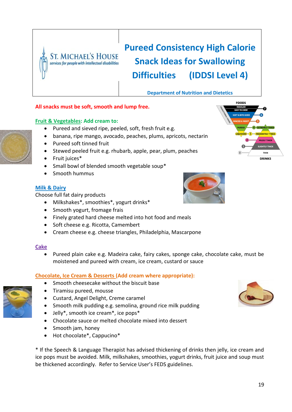

# **Pureed Consistency High Calorie Snack Ideas for Swallowing Difficulties (IDDSI Level 4)**

#### **Department of Nutrition and Dietetics**

#### **All snacks must be soft, smooth and lump free.**

#### **Fruit & Vegetables: Add cream to:**

- Pureed and sieved ripe, peeled, soft, fresh fruit e.g.
- banana, ripe mango, avocado, peaches, plums, apricots, nectarin
- Pureed soft tinned fruit
- Stewed peeled fruit e.g. rhubarb, apple, pear, plum, peaches
- Fruit juices\*
- Small bowl of blended smooth vegetable soup\*
- Smooth hummus

#### **Milk & Dairy**

Choose full fat dairy products

- Milkshakes\*, smoothies\*, yogurt drinks\*
- Smooth yogurt, fromage frais
- Finely grated hard cheese melted into hot food and meals
- Soft cheese e.g. Ricotta, Camembert
- Cream cheese e.g. cheese triangles, Philadelphia, Mascarpone

#### **Cake**

 Pureed plain cake e.g. Madeira cake, fairy cakes, sponge cake, chocolate cake, must be moistened and pureed with cream, ice cream, custard or sauce

#### **Chocolate, Ice Cream & Desserts (Add cream where appropriate):**

- Smooth cheesecake without the biscuit base
- Tiramisu pureed, mousse
- Custard, Angel Delight, Creme caramel
- Smooth milk pudding e.g. semolina, ground rice milk pudding
- Jelly\*, smooth ice cream\*, ice pops\*
- Chocolate sauce or melted chocolate mixed into dessert
- Smooth jam, honey
- Hot chocolate\*, Cappucino\*

\* If the Speech & Language Therapist has advised thickening of drinks then jelly, ice cream and ice pops must be avoided. Milk, milkshakes, smoothies, yogurt drinks, fruit juice and soup must be thickened accordingly. Refer to Service User's FEDS guidelines.





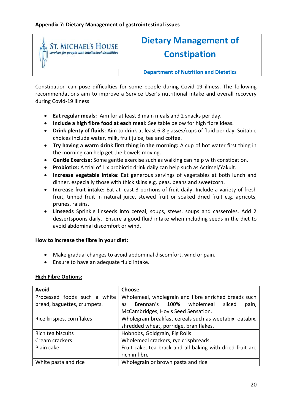

# **Dietary Management of Constipation**

**Department of Nutrition and Dietetics**

Constipation can pose difficulties for some people during Covid-19 illness. The following recommendations aim to improve a Service User's nutritional intake and overall recovery during Covid-19 illness.

- **Eat regular meals:** Aim for at least 3 main meals and 2 snacks per day.
- **Include a high fibre food at each meal:** See table below for high fibre ideas.
- **Drink plenty of fluids**: Aim to drink at least 6-8 glasses/cups of fluid per day. Suitable choices include water, milk, fruit juice, tea and coffee.
- **Try having a warm drink first thing in the morning:** A cup of hot water first thing in the morning can help get the bowels moving.
- **Gentle Exercise:** Some gentle exercise such as walking can help with constipation.
- **Probiotics:** A trial of 1 x probiotic drink daily can help such as Actimel/Yakult.
- **Increase vegetable intake:** Eat generous servings of vegetables at both lunch and dinner, especially those with thick skins e.g. peas, beans and sweetcorn.
- **Increase fruit intake:** Eat at least 3 portions of fruit daily. Include a variety of fresh fruit, tinned fruit in natural juice, stewed fruit or soaked dried fruit e.g. apricots, prunes, raisins.
- **Linseeds** Sprinkle linseeds into cereal, soups, stews, soups and casseroles. Add 2 dessertspoons daily. Ensure a good fluid intake when including seeds in the diet to avoid abdominal discomfort or wind.

#### **How to increase the fibre in your diet:**

- Make gradual changes to avoid abdominal discomfort, wind or pain.
- Ensure to have an adequate fluid intake.

#### **High Fibre Options:**

| Avoid                        | <b>Choose</b>                                             |  |
|------------------------------|-----------------------------------------------------------|--|
| Processed foods such a white | Wholemeal, wholegrain and fibre enriched breads such      |  |
| bread, baguettes, crumpets.  | Brennan's 100% wholemeal<br>sliced<br>pain,<br>as         |  |
|                              | McCambridges, Hovis Seed Sensation.                       |  |
| Rice krispies, cornflakes    | Wholegrain breakfast cereals such as weetabix, oatabix,   |  |
|                              | shredded wheat, porridge, bran flakes.                    |  |
| Rich tea biscuits            | Hobnobs, Goldgrain, Fig Rolls                             |  |
| Cream crackers               | Wholemeal crackers, rye crispbreads,                      |  |
| Plain cake                   | Fruit cake, tea brack and all baking with dried fruit are |  |
|                              | rich in fibre                                             |  |
| White pasta and rice         | Wholegrain or brown pasta and rice.                       |  |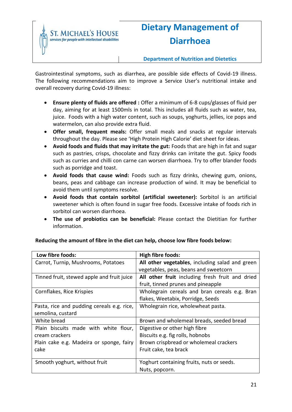

# **Dietary Management of Diarrhoea**

Gastrointestinal symptoms, such as diarrhea, are possible side effects of Covid-19 illness. The following recommendations aim to improve a Service User's nutritional intake and overall recovery during Covid-19 illness:

- **Ensure plenty of fluids are offered :** Offer a minimum of 6-8 cups/glasses of fluid per day, aiming for at least 1500mls in total. This includes all fluids such as water, tea, juice. Foods with a high water content, such as soups, yoghurts, jellies, ice pops and watermelon, can also provide extra fluid.
- **Offer small, frequent meals:** Offer small meals and snacks at regular intervals throughout the day. Please see 'High Protein High Calorie' diet sheet for ideas.
- **Avoid foods and fluids that may irritate the gut:** Foods that are high in fat and sugar such as pastries, crisps, chocolate and fizzy drinks can irritate the gut. Spicy foods such as curries and chilli con carne can worsen diarrhoea. Try to offer blander foods such as porridge and toast.
- **Avoid foods that cause wind:** Foods such as fizzy drinks, chewing gum, onions, beans, peas and cabbage can increase production of wind. It may be beneficial to avoid them until symptoms resolve.
- **Avoid foods that contain sorbitol (artificial sweetener):** Sorbitol is an artificial sweetener which is often found in sugar free foods. Excessive intake of foods rich in sorbitol can worsen diarrhoea.
- **The use of probiotics can be beneficial:** Please contact the Dietitian for further information.

| Low fibre foods:                           | <b>High fibre foods:</b>                        |
|--------------------------------------------|-------------------------------------------------|
| Carrot, Turnip, Mushrooms, Potatoes        | All other vegetables, including salad and green |
|                                            | vegetables, peas, beans and sweetcorn           |
| Tinned fruit, stewed apple and fruit juice | All other fruit including fresh fruit and dried |
|                                            | fruit, tinned prunes and pineapple              |
| Cornflakes, Rice Krispies                  | Wholegrain cereals and bran cereals e.g. Bran   |
|                                            | flakes, Weetabix, Porridge, Seeds               |
| Pasta, rice and pudding cereals e.g. rice, | Wholegrain rice, wholewheat pasta.              |
| semolina, custard                          |                                                 |
| White bread                                | Brown and wholemeal breads, seeded bread        |
| Plain biscuits made with white flour,      | Digestive or other high fibre                   |
| cream crackers                             | Biscuits e.g. fig rolls, hobnobs                |
| Plain cake e.g. Madeira or sponge, fairy   | Brown crispbread or wholemeal crackers          |
| cake                                       | Fruit cake, tea brack                           |
|                                            |                                                 |
| Smooth yoghurt, without fruit              | Yoghurt containing fruits, nuts or seeds.       |
|                                            | Nuts, popcorn.                                  |

#### **Reducing the amount of fibre in the diet can help, choose low fibre foods below:**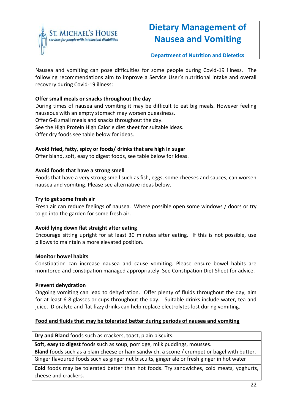

### **Dietary Management of Nausea and Vomiting**

**Department of Nutrition and Dietetics**

Nausea and vomiting can pose difficulties for some people during Covid-19 illness. The following recommendations aim to improve a Service User's nutritional intake and overall recovery during Covid-19 illness:

#### **Offer small meals or snacks throughout the day**

During times of nausea and vomiting it may be difficult to eat big meals. However feeling nauseous with an empty stomach may worsen queasiness. Offer 6-8 small meals and snacks throughout the day. See the High Protein High Calorie diet sheet for suitable ideas. Offer dry foods see table below for ideas.

#### **Avoid fried, fatty, spicy or foods/ drinks that are high in sugar**

Offer bland, soft, easy to digest foods, see table below for ideas.

#### **Avoid foods that have a strong smell**

Foods that have a very strong smell such as fish, eggs, some cheeses and sauces, can worsen nausea and vomiting. Please see alternative ideas below.

#### **Try to get some fresh air**

Fresh air can reduce feelings of nausea. Where possible open some windows / doors or try to go into the garden for some fresh air.

#### **Avoid lying down flat straight after eating**

Encourage sitting upright for at least 30 minutes after eating. If this is not possible, use pillows to maintain a more elevated position.

#### **Monitor bowel habits**

Constipation can increase nausea and cause vomiting. Please ensure bowel habits are monitored and constipation managed appropriately. See Constipation Diet Sheet for advice.

#### **Prevent dehydration**

Ongoing vomiting can lead to dehydration. Offer plenty of fluids throughout the day, aim for at least 6-8 glasses or cups throughout the day. Suitable drinks include water, tea and juice. Dioralyte and flat fizzy drinks can help replace electrolytes lost during vomiting.

#### **Food and fluids that may be tolerated better during periods of nausea and vomiting**

**Dry and Bland** foods such as crackers, toast, plain biscuits.

**Soft, easy to digest** foods such as soup, porridge, milk puddings, mousses.

**Bland** foods such as a plain cheese or ham sandwich, a scone / crumpet or bagel with butter. Ginger flavoured foods such as ginger nut biscuits, ginger ale or fresh ginger in hot water

**Cold** foods may be tolerated better than hot foods. Try sandwiches, cold meats, yoghurts, cheese and crackers.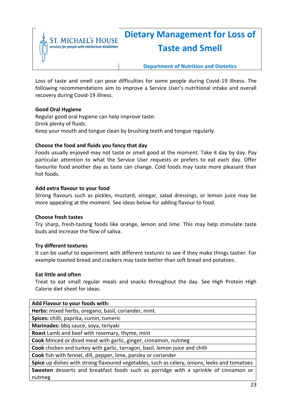

# **Dietary Management for Loss of Taste and Smell**

#### **Department of Nutrition and Dietetics**

Loss of taste and smell can pose difficulties for some people during Covid-19 illness. The following recommendations aim to improve a Service User's nutritional intake and overall recovery during Covid-19 illness.

#### **Good Oral Hygiene**

Regular good oral hygiene can help improve taste: Drink plenty of fluids. Keep your mouth and tongue clean by brushing teeth and tongue regularly.

#### **Choose the food and fluids you fancy that day**

Foods usually enjoyed may not taste or smell good at the moment. Take it day by day. Pay particular attention to what the Service User requests or prefers to eat each day. Offer favourite food another day as taste can change. Cold foods may taste more pleasant than hot foods.

#### **Add extra flavour to your food**

Strong flavours such as pickles, mustard, vinegar, salad dressings, or lemon juice may be more appealing at the moment. See ideas below for adding flavour to food.

#### **Choose fresh tastes**

Try sharp, fresh-tasting foods like orange, lemon and lime. This may help stimulate taste buds and increase the flow of saliva.

#### **Try different textures**

It can be useful to experiment with different textures to see if they make things tastier. For example toasted bread and crackers may taste better than soft bread and potatoes.

#### **Eat little and often**

Treat to eat small regular meals and snacks throughout the day. See High Protein High Calorie diet sheet for ideas.

#### **Add Flavour to your foods with:**

**Herbs:** mixed herbs, oregano, basil, coriander, mint.

**Spices:** chilli, paprika, cumin, tumeric

**Marinades:** bbq sauce, soya, teriyaki

**Roast** Lamb and beef with rosemary, thyme, mint

**Cook** Minced or diced meat with garlic, ginger, cinnamon, nutmeg

**Cook** chicken and turkey with garlic, tarragon, basil, lemon juice and chilli

**Cook** fish with fennel, dill, pepper, lime, parsley or coriander

**Spice** up dishes with strong flavoured vegetables, such as celery, onions, leeks and tomatoes **Sweeten** desserts and breakfast foods such as porridge with a sprinkle of cinnamon or nutmeg